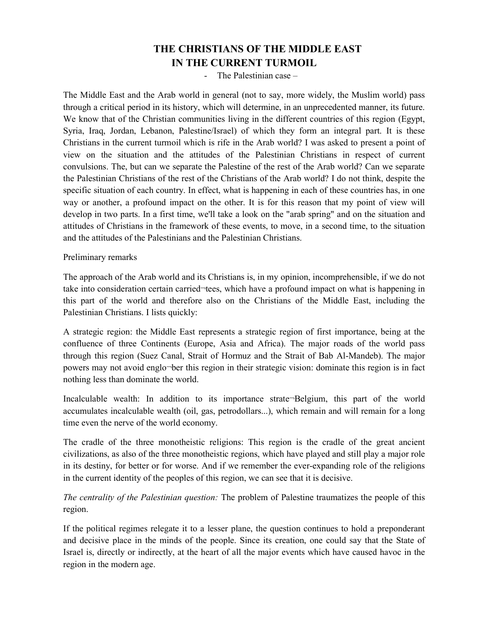## **THE CHRISTIANS OF THE MIDDLE EAST IN THE CURRENT TURMOIL**

- The Palestinian case –

The Middle East and the Arab world in general (not to say, more widely, the Muslim world) pass through a critical period in its history, which will determine, in an unprecedented manner, its future. We know that of the Christian communities living in the different countries of this region (Egypt, Syria, Iraq, Jordan, Lebanon, Palestine/Israel) of which they form an integral part. It is these Christians in the current turmoil which is rife in the Arab world? I was asked to present a point of view on the situation and the attitudes of the Palestinian Christians in respect of current convulsions. The, but can we separate the Palestine of the rest of the Arab world? Can we separate the Palestinian Christians of the rest of the Christians of the Arab world? I do not think, despite the specific situation of each country. In effect, what is happening in each of these countries has, in one way or another, a profound impact on the other. It is for this reason that my point of view will develop in two parts. In a first time, we'll take a look on the "arab spring" and on the situation and attitudes of Christians in the framework of these events, to move, in a second time, to the situation and the attitudes of the Palestinians and the Palestinian Christians.

## Preliminary remarks

The approach of the Arab world and its Christians is, in my opinion, incomprehensible, if we do not take into consideration certain carried¬tees, which have a profound impact on what is happening in this part of the world and therefore also on the Christians of the Middle East, including the Palestinian Christians. I lists quickly:

A strategic region: the Middle East represents a strategic region of first importance, being at the confluence of three Continents (Europe, Asia and Africa). The major roads of the world pass through this region (Suez Canal, Strait of Hormuz and the Strait of Bab Al-Mandeb). The major powers may not avoid englo¬ber this region in their strategic vision: dominate this region is in fact nothing less than dominate the world.

Incalculable wealth: In addition to its importance strate¬Belgium, this part of the world accumulates incalculable wealth (oil, gas, petrodollars...), which remain and will remain for a long time even the nerve of the world economy.

The cradle of the three monotheistic religions: This region is the cradle of the great ancient civilizations, as also of the three monotheistic regions, which have played and still play a major role in its destiny, for better or for worse. And if we remember the ever-expanding role of the religions in the current identity of the peoples of this region, we can see that it is decisive.

*The centrality of the Palestinian question:* The problem of Palestine traumatizes the people of this region.

If the political regimes relegate it to a lesser plane, the question continues to hold a preponderant and decisive place in the minds of the people. Since its creation, one could say that the State of Israel is, directly or indirectly, at the heart of all the major events which have caused havoc in the region in the modern age.